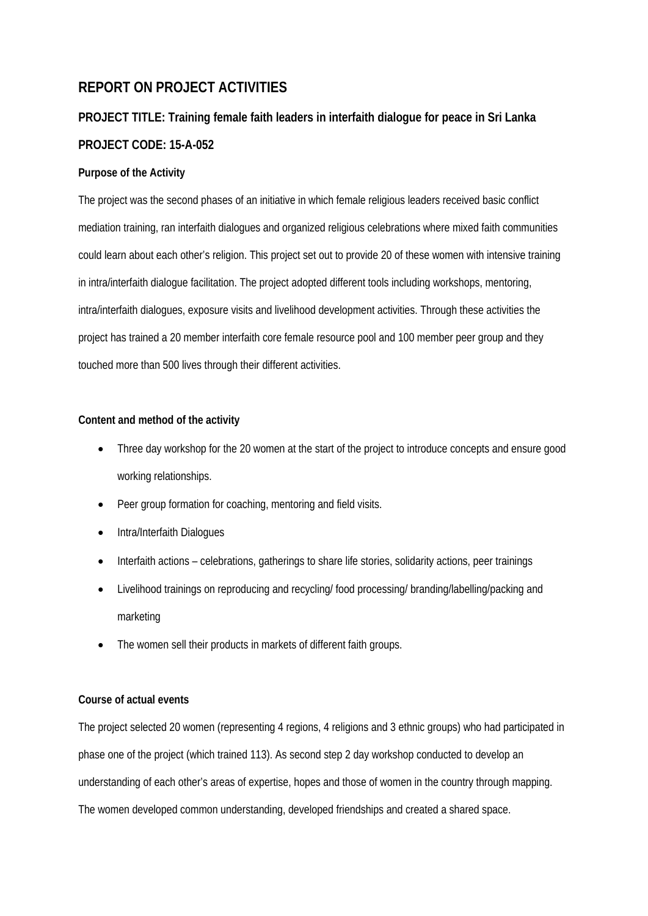## **REPORT ON PROJECT ACTIVITIES**

# **PROJECT TITLE: Training female faith leaders in interfaith dialogue for peace in Sri Lanka PROJECT CODE: 15-A-052**

#### **Purpose of the Activity**

The project was the second phases of an initiative in which female religious leaders received basic conflict mediation training, ran interfaith dialogues and organized religious celebrations where mixed faith communities could learn about each other's religion. This project set out to provide 20 of these women with intensive training in intra/interfaith dialogue facilitation. The project adopted different tools including workshops, mentoring, intra/interfaith dialogues, exposure visits and livelihood development activities. Through these activities the project has trained a 20 member interfaith core female resource pool and 100 member peer group and they touched more than 500 lives through their different activities.

#### **Content and method of the activity**

- Three day workshop for the 20 women at the start of the project to introduce concepts and ensure good working relationships.
- Peer group formation for coaching, mentoring and field visits.
- Intra/Interfaith Dialogues
- Interfaith actions celebrations, gatherings to share life stories, solidarity actions, peer trainings
- Livelihood trainings on reproducing and recycling/ food processing/ branding/labelling/packing and marketing
- The women sell their products in markets of different faith groups.

#### **Course of actual events**

The project selected 20 women (representing 4 regions, 4 religions and 3 ethnic groups) who had participated in phase one of the project (which trained 113). As second step 2 day workshop conducted to develop an understanding of each other's areas of expertise, hopes and those of women in the country through mapping. The women developed common understanding, developed friendships and created a shared space.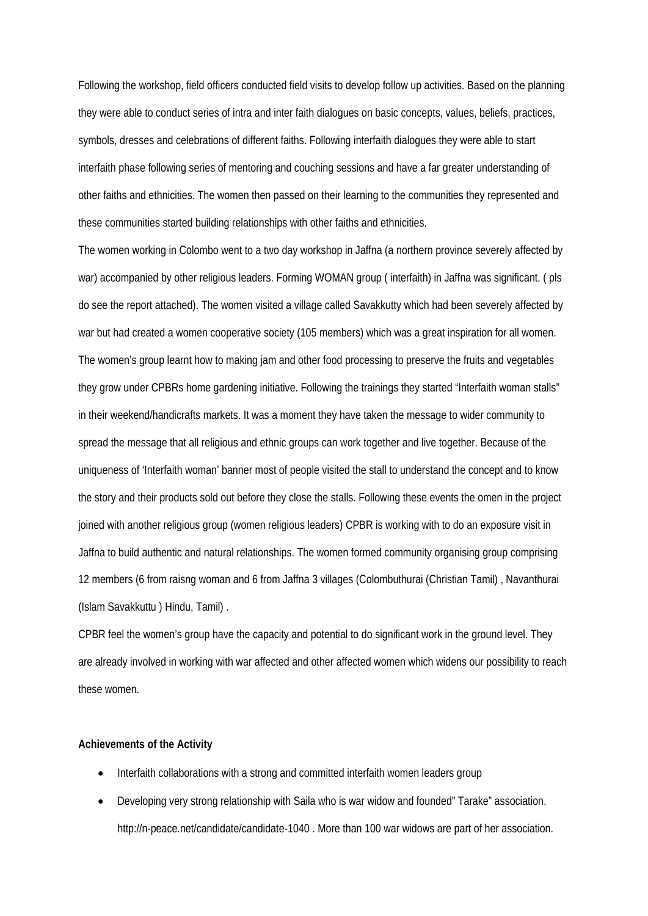Following the workshop, field officers conducted field visits to develop follow up activities. Based on the planning they were able to conduct series of intra and inter faith dialogues on basic concepts, values, beliefs, practices, symbols, dresses and celebrations of different faiths. Following interfaith dialogues they were able to start interfaith phase following series of mentoring and couching sessions and have a far greater understanding of other faiths and ethnicities. The women then passed on their learning to the communities they represented and these communities started building relationships with other faiths and ethnicities.

The women working in Colombo went to a two day workshop in Jaffna (a northern province severely affected by war) accompanied by other religious leaders. Forming WOMAN group ( interfaith) in Jaffna was significant. ( pls do see the report attached). The women visited a village called Savakkutty which had been severely affected by war but had created a women cooperative society (105 members) which was a great inspiration for all women. The women's group learnt how to making jam and other food processing to preserve the fruits and vegetables they grow under CPBRs home gardening initiative. Following the trainings they started "Interfaith woman stalls" in their weekend/handicrafts markets. It was a moment they have taken the message to wider community to spread the message that all religious and ethnic groups can work together and live together. Because of the uniqueness of 'Interfaith woman' banner most of people visited the stall to understand the concept and to know the story and their products sold out before they close the stalls. Following these events the omen in the project joined with another religious group (women religious leaders) CPBR is working with to do an exposure visit in Jaffna to build authentic and natural relationships. The women formed community organising group comprising 12 members (6 from raisng woman and 6 from Jaffna 3 villages (Colombuthurai (Christian Tamil) , Navanthurai (Islam Savakkuttu ) Hindu, Tamil) .

CPBR feel the women's group have the capacity and potential to do significant work in the ground level. They are already involved in working with war affected and other affected women which widens our possibility to reach these women.

#### **Achievements of the Activity**

- Interfaith collaborations with a strong and committed interfaith women leaders group
- Developing very strong relationship with Saila who is war widow and founded" Tarake" association. http://n-peace.net/candidate/candidate-1040 . More than 100 war widows are part of her association.